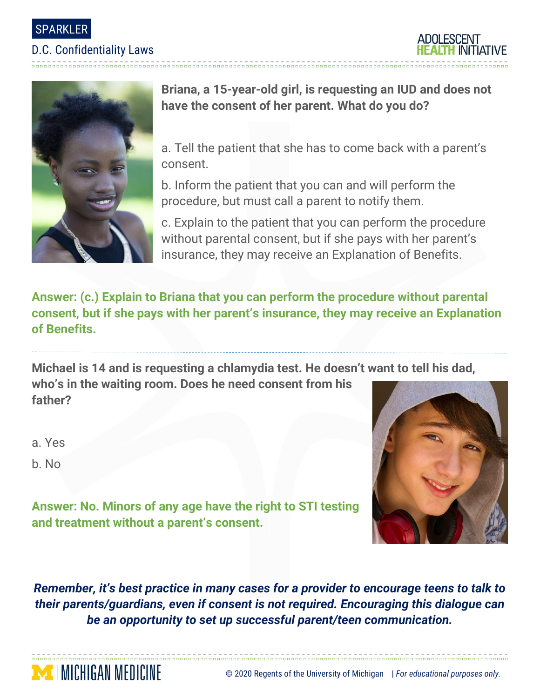SPARKLER

D.C. Confidentiality Laws 





**Briana, a 15-year-old girl, is requesting an IUD and does not have the consent of her parent. What do you do?**

a. Tell the patient that she has to come back with a parent's consent.

b. Inform the patient that you can and will perform the procedure, but must call a parent to notify them.

c. Explain to the patient that you can perform the procedure without parental consent, but if she pays with her parent's insurance, they may receive an Explanation of Benefits.

**Answer: (c.) Explain to Briana that you can perform the procedure without parental consent, but if she pays with her parent's insurance, they may receive an Explanation of Benefits.**

**Michael is 14 and is requesting a chlamydia test. He doesn't want to tell his dad, who's in the waiting room. Does he need consent from his father?**

a. Yes

b. No

**I MICHIGAN MEDICINE** 



**Answer: No. Minors of any age have the right to STI testing and treatment without a parent's consent.**

*Remember, it's best practice in many cases for a provider to encourage teens to talk to their parents/guardians, even if consent is not required. Encouraging this dialogue can be an opportunity to set up successful parent/teen communication.*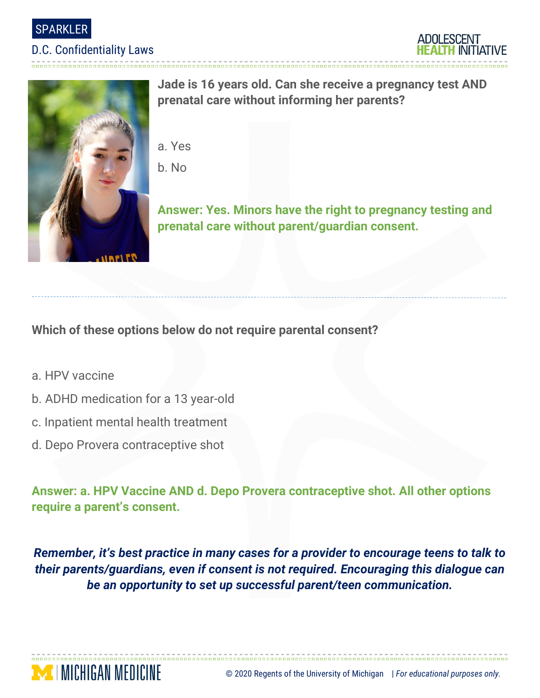SPARKLER

D.C. Confidentiality Laws





**Jade is 16 years old. Can she receive a pregnancy test AND prenatal care without informing her parents?**

- a. Yes
- b. No

**Answer: Yes. Minors have the right to pregnancy testing and prenatal care without parent/guardian consent.**

## **Which of these options below do not require parental consent?**

- a. HPV vaccine
- b. ADHD medication for a 13 year-old
- c. Inpatient mental health treatment
- d. Depo Provera contraceptive shot

**MENICHIGAN MEDICINE** 

**Answer: a. HPV Vaccine AND d. Depo Provera contraceptive shot. All other options require a parent's consent.**

*Remember, it's best practice in many cases for a provider to encourage teens to talk to their parents/guardians, even if consent is not required. Encouraging this dialogue can be an opportunity to set up successful parent/teen communication.*